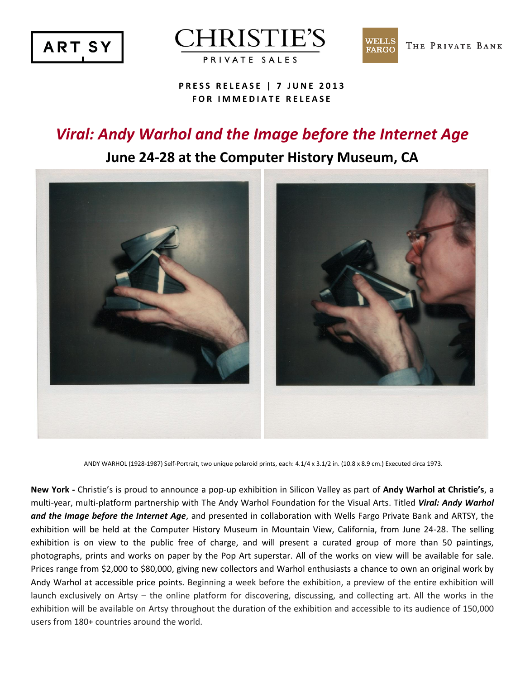

CHRISTIE'S PRIVATE SALES



**P R E S S R E L E A S E | 7 J U N E 201 3 FOR IMMEDIATE RELEASE** 

# *Viral: Andy Warhol and the Image before the Internet Age*

# **June 24-28 at the Computer History Museum, CA**



ANDY WARHOL (1928-1987) Self-Portrait, two unique polaroid prints, each: 4.1/4 x 3.1/2 in. (10.8 x 8.9 cm.) Executed circa 1973.

**New York -** Christie's is proud to announce a pop-up exhibition in Silicon Valley as part of **Andy Warhol at Christie's**, a multi-year, multi-platform partnership with The Andy Warhol Foundation for the Visual Arts. Titled *Viral: Andy Warhol and the Image before the Internet Age*, and presented in collaboration with Wells Fargo Private Bank and ARTSY, the exhibition will be held at the Computer History Museum in Mountain View, California, from June 24-28. The selling exhibition is on view to the public free of charge, and will present a curated group of more than 50 paintings, photographs, prints and works on paper by the Pop Art superstar. All of the works on view will be available for sale. Prices range from \$2,000 to \$80,000, giving new collectors and Warhol enthusiasts a chance to own an original work by Andy Warhol at accessible price points. Beginning a week before the exhibition, a preview of the entire exhibition will launch exclusively on Artsy – the online platform for discovering, discussing, and collecting art. All the works in the exhibition will be available on Artsy throughout the duration of the exhibition and accessible to its audience of 150,000 users from 180+ countries around the world.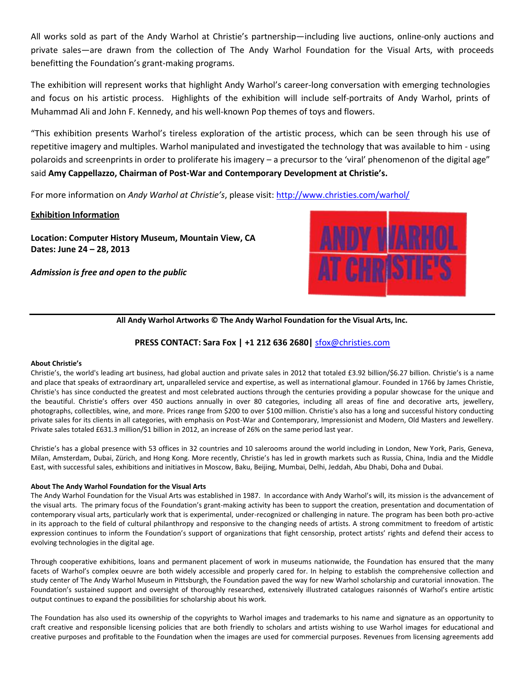All works sold as part of the Andy Warhol at Christie's partnership—including live auctions, online-only auctions and private sales—are drawn from the collection of The Andy Warhol Foundation for the Visual Arts, with proceeds benefitting the Foundation's grant-making programs.

The exhibition will represent works that highlight Andy Warhol's career-long conversation with emerging technologies and focus on his artistic process. Highlights of the exhibition will include self-portraits of Andy Warhol, prints of Muhammad Ali and John F. Kennedy, and his well-known Pop themes of toys and flowers.

"This exhibition presents Warhol's tireless exploration of the artistic process, which can be seen through his use of repetitive imagery and multiples. Warhol manipulated and investigated the technology that was available to him - using polaroids and screenprints in order to proliferate his imagery – a precursor to the 'viral' phenomenon of the digital age" said **Amy Cappellazzo, Chairman of Post-War and Contemporary Development at Christie's.**

For more information on *Andy Warhol at Christie's*, please visit:<http://www.christies.com/warhol/>

### **Exhibition Information**

**Location: Computer History Museum, Mountain View, CA Dates: June 24 – 28, 2013**

*Admission is free and open to the public*



**All Andy Warhol Artworks © The Andy Warhol Foundation for the Visual Arts, Inc.**

## **PRESS CONTACT: Sara Fox | +1 212 636 2680|** [sfox@christies.com](mailto:sfox@christies.com)

#### **About Christie's**

Christie's, the world's leading art business, had global auction and private sales in 2012 that totaled £3.92 billion/\$6.27 billion. Christie's is a name and place that speaks of extraordinary art, unparalleled service and expertise, as well as international glamour. Founded in 1766 by James Christie, Christie's has since conducted the greatest and most celebrated auctions through the centuries providing a popular showcase for the unique and the beautiful. Christie's offers over 450 auctions annually in over 80 categories, including all areas of fine and decorative arts, jewellery, photographs, collectibles, wine, and more. Prices range from \$200 to over \$100 million. Christie's also has a long and successful history conducting private sales for its clients in all categories, with emphasis on Post-War and Contemporary, Impressionist and Modern, Old Masters and Jewellery. Private sales totaled £631.3 million/\$1 billion in 2012, an increase of 26% on the same period last year.

Christie's has a global presence with 53 offices in 32 countries and 10 salerooms around the world including in London, New York, Paris, Geneva, Milan, Amsterdam, Dubai, Zürich, and Hong Kong. More recently, Christie's has led in growth markets such as Russia, China, India and the Middle East, with successful sales, exhibitions and initiatives in Moscow, Baku, Beijing, Mumbai, Delhi, Jeddah, Abu Dhabi, Doha and Dubai.

#### **About The Andy Warhol Foundation for the Visual Arts**

The Andy Warhol Foundation for the Visual Arts was established in 1987. In accordance with Andy Warhol's will, its mission is the advancement of the visual arts. The primary focus of the Foundation's grant-making activity has been to support the creation, presentation and documentation of contemporary visual arts, particularly work that is experimental, under-recognized or challenging in nature. The program has been both pro-active in its approach to the field of cultural philanthropy and responsive to the changing needs of artists. A strong commitment to freedom of artistic expression continues to inform the Foundation's support of organizations that fight censorship, protect artists' rights and defend their access to evolving technologies in the digital age.

Through cooperative exhibitions, loans and permanent placement of work in museums nationwide, the Foundation has ensured that the many facets of Warhol's complex oeuvre are both widely accessible and properly cared for. In helping to establish the comprehensive collection and study center of The Andy Warhol Museum in Pittsburgh, the Foundation paved the way for new Warhol scholarship and curatorial innovation. The Foundation's sustained support and oversight of thoroughly researched, extensively illustrated catalogues raisonnés of Warhol's entire artistic output continues to expand the possibilities for scholarship about his work.

The Foundation has also used its ownership of the copyrights to Warhol images and trademarks to his name and signature as an opportunity to craft creative and responsible licensing policies that are both friendly to scholars and artists wishing to use Warhol images for educational and creative purposes and profitable to the Foundation when the images are used for commercial purposes. Revenues from licensing agreements add